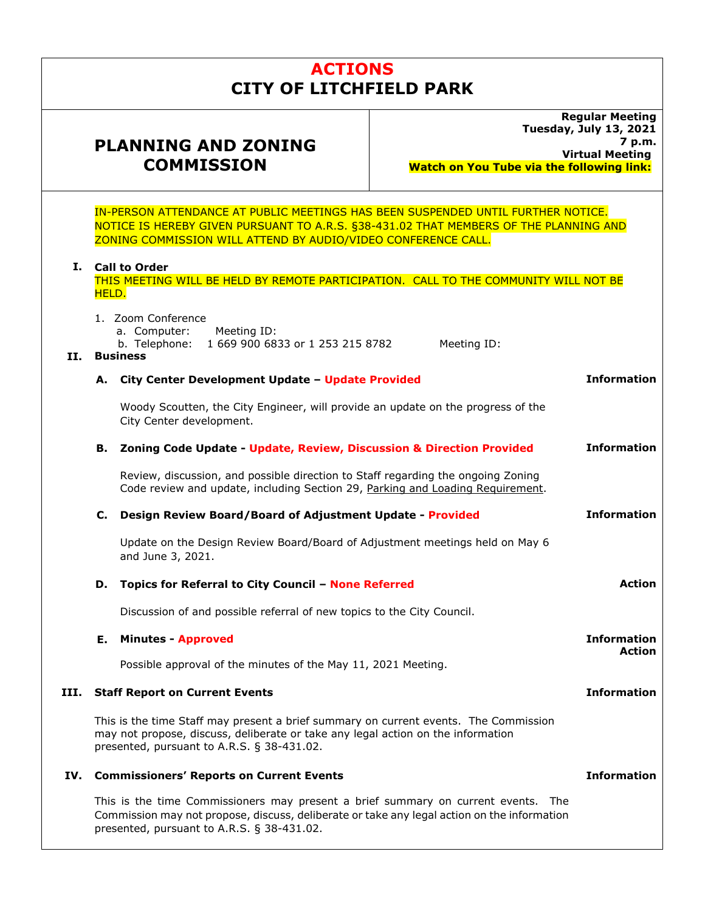# **ACTIONS CITY OF LITCHFIELD PARK**

## **PLANNING AND ZONING COMMISSION**

**Regular Meeting Tuesday, July 13, 2021 7 p.m. Virtual Meeting Watch on You Tube via the following link:** 

**Action** 

IN-PERSON ATTENDANCE AT PUBLIC MEETINGS HAS BEEN SUSPENDED UNTIL FURTHER NOTICE. NOTICE IS HEREBY GIVEN PURSUANT TO A.R.S. §38-431.02 THAT MEMBERS OF THE PLANNING AND ZONING COMMISSION WILL ATTEND BY AUDIO/VIDEO CONFERENCE CALL.

## **I. Call to Order**

1. Zoom Conference

THIS MEETING WILL BE HELD BY REMOTE PARTICIPATION. CALL TO THE COMMUNITY WILL NOT BE HELD.

 a. Computer: Meeting ID: b. Telephone: 1 669 900 6833 or 1 253 215 8782 Meeting ID: **II. Business A. City Center Development Update – Update Provided** Woody Scoutten, the City Engineer, will provide an update on the progress of the City Center development. **Information B. Zoning Code Update - Update, Review, Discussion & Direction Provided** Review, discussion, and possible direction to Staff regarding the ongoing Zoning **Information** 

Code review and update, including Section 29, Parking and Loading Requirement.

#### **C. Design Review Board/Board of Adjustment Update - Provided Information**

Update on the Design Review Board/Board of Adjustment meetings held on May 6 and June 3, 2021.

## **D. Topics for Referral to City Council – None Referred**

Discussion of and possible referral of new topics to the City Council.

## **E. Minutes - Approved**  Possible approval of the minutes of the May 11, 2021 Meeting. **Information Action III. Staff Report on Current Events**  This is the time Staff may present a brief summary on current events. The Commission may not propose, discuss, deliberate or take any legal action on the information presented, pursuant to A.R.S. § 38-431.02. **Information IV. Commissioners' Reports on Current Events Information**

This is the time Commissioners may present a brief summary on current events. The Commission may not propose, discuss, deliberate or take any legal action on the information presented, pursuant to A.R.S. § 38-431.02.